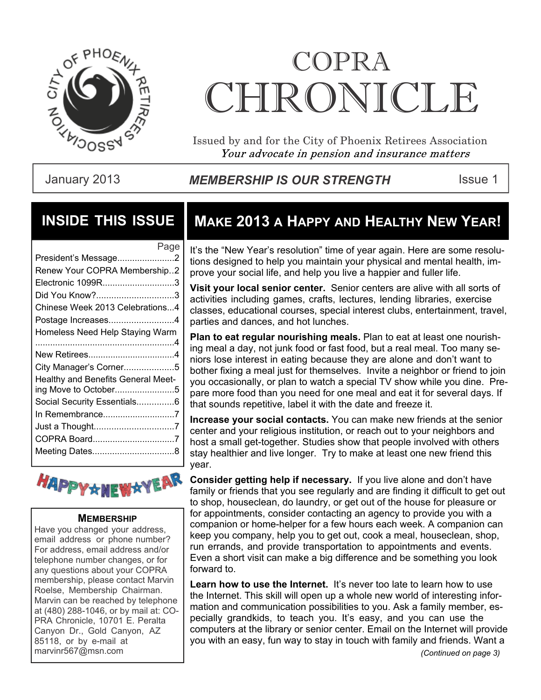

# COPRA CHRONICI F.

Issued by and for the City of Phoenix Retirees Association Your advocate in pension and insurance matters

#### January 2013 **MEMBERSHIP IS OUR STRENGTH** ISSue 1

### **INSIDE THIS ISSUE**

|                                    | Page |
|------------------------------------|------|
| President's Message2               |      |
| Renew Your COPRA Membership2       |      |
| Electronic 1099R3                  |      |
| Did You Know?3                     |      |
| Chinese Week 2013 Celebrations4    |      |
| Postage Increases4                 |      |
| Homeless Need Help Staying Warm    |      |
|                                    |      |
|                                    |      |
| City Manager's Corner5             |      |
| Healthy and Benefits General Meet- |      |
| ing Move to October5               |      |
| Social Security Essentials6        |      |
| In Remembrance7                    |      |
|                                    |      |
|                                    |      |
|                                    |      |
|                                    |      |



#### **MEMBERSHIP**

Have you changed your address, email address or phone number? For address, email address and/or telephone number changes, or for any questions about your COPRA membership, please contact Marvin Roelse, Membership Chairman. Marvin can be reached by telephone at (480) 288-1046, or by mail at: CO-PRA Chronicle, 10701 E. Peralta Canyon Dr., Gold Canyon, AZ 85118, or by e-mail at

# **MAKE 2013 A HAPPY AND HEALTHY NEW YEAR!**

It's the "New Year's resolution" time of year again. Here are some resolutions designed to help you maintain your physical and mental health, improve your social life, and help you live a happier and fuller life.

**Visit your local senior center.** Senior centers are alive with all sorts of activities including games, crafts, lectures, lending libraries, exercise classes, educational courses, special interest clubs, entertainment, travel, parties and dances, and hot lunches.

**Plan to eat regular nourishing meals.** Plan to eat at least one nourishing meal a day, not junk food or fast food, but a real meal. Too many seniors lose interest in eating because they are alone and don't want to bother fixing a meal just for themselves. Invite a neighbor or friend to join you occasionally, or plan to watch a special TV show while you dine. Prepare more food than you need for one meal and eat it for several days. If that sounds repetitive, label it with the date and freeze it.

**Increase your social contacts.** You can make new friends at the senior center and your religious institution, or reach out to your neighbors and host a small get-together. Studies show that people involved with others stay healthier and live longer. Try to make at least one new friend this year.

**Consider getting help if necessary.** If you live alone and don't have family or friends that you see regularly and are finding it difficult to get out to shop, houseclean, do laundry, or get out of the house for pleasure or for appointments, consider contacting an agency to provide you with a companion or home-helper for a few hours each week. A companion can keep you company, help you to get out, cook a meal, houseclean, shop, run errands, and provide transportation to appointments and events. Even a short visit can make a big difference and be something you look forward to.

Learn how to use the Internet. It's never too late to learn how to use the Internet. This skill will open up a whole new world of interesting information and communication possibilities to you. Ask a family member, especially grandkids, to teach you. It's easy, and you can use the computers at the library or senior center. Email on the Internet will provide you with an easy, fun way to stay in touch with family and friends. Want a marvinr567@msn.com *(Continued on page 3)*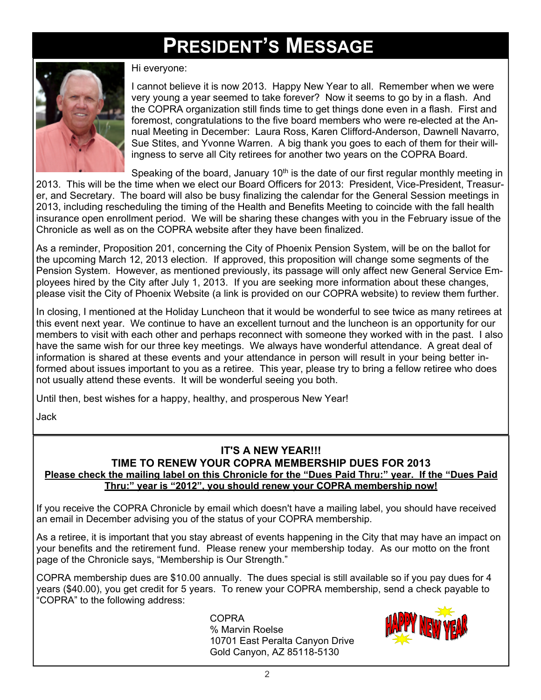# **PRESIDENT'S MESSAGE**



Hi everyone:

I cannot believe it is now 2013. Happy New Year to all. Remember when we were very young a year seemed to take forever? Now it seems to go by in a flash. And the COPRA organization still finds time to get things done even in a flash. First and foremost, congratulations to the five board members who were re-elected at the Annual Meeting in December: Laura Ross, Karen Clifford-Anderson, Dawnell Navarro, Sue Stites, and Yvonne Warren. A big thank you goes to each of them for their willingness to serve all City retirees for another two years on the COPRA Board.

Speaking of the board, January  $10<sup>th</sup>$  is the date of our first regular monthly meeting in 2013. This will be the time when we elect our Board Officers for 2013: President, Vice-President, Treasurer, and Secretary. The board will also be busy finalizing the calendar for the General Session meetings in 2013, including rescheduling the timing of the Health and Benefits Meeting to coincide with the fall health insurance open enrollment period. We will be sharing these changes with you in the February issue of the Chronicle as well as on the COPRA website after they have been finalized.

As a reminder, Proposition 201, concerning the City of Phoenix Pension System, will be on the ballot for the upcoming March 12, 2013 election. If approved, this proposition will change some segments of the Pension System. However, as mentioned previously, its passage will only affect new General Service Employees hired by the City after July 1, 2013. If you are seeking more information about these changes, please visit the City of Phoenix Website (a link is provided on our COPRA website) to review them further.

In closing, I mentioned at the Holiday Luncheon that it would be wonderful to see twice as many retirees at this event next year. We continue to have an excellent turnout and the luncheon is an opportunity for our members to visit with each other and perhaps reconnect with someone they worked with in the past. I also have the same wish for our three key meetings. We always have wonderful attendance. A great deal of information is shared at these events and your attendance in person will result in your being better informed about issues important to you as a retiree. This year, please try to bring a fellow retiree who does not usually attend these events. It will be wonderful seeing you both.

Until then, best wishes for a happy, healthy, and prosperous New Year!

Jack

#### **IT'S A NEW YEAR!!! TIME TO RENEW YOUR COPRA MEMBERSHIP DUES FOR 2013 Please check the mailing label on this Chronicle for the "Dues Paid Thru:" year. If the "Dues Paid Thru:" year is "2012", you should renew your COPRA membership now!**

If you receive the COPRA Chronicle by email which doesn't have a mailing label, you should have received an email in December advising you of the status of your COPRA membership.

As a retiree, it is important that you stay abreast of events happening in the City that may have an impact on your benefits and the retirement fund. Please renew your membership today. As our motto on the front page of the Chronicle says, "Membership is Our Strength."

COPRA membership dues are \$10.00 annually. The dues special is still available so if you pay dues for 4 years (\$40.00), you get credit for 5 years. To renew your COPRA membership, send a check payable to "COPRA" to the following address:

> COPRA % Marvin Roelse 10701 East Peralta Canyon Drive Gold Canyon, AZ 85118-5130

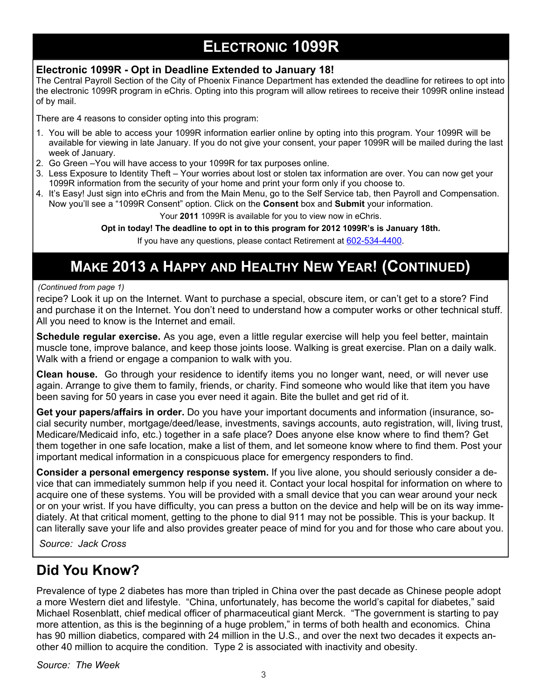# **ELECTRONIC 1099R**

#### **Electronic 1099R - Opt in Deadline Extended to January 18!**

The Central Payroll Section of the City of Phoenix Finance Department has extended the deadline for retirees to opt into the electronic 1099R program in eChris. Opting into this program will allow retirees to receive their 1099R online instead of by mail.

There are 4 reasons to consider opting into this program:

- 1. You will be able to access your 1099R information earlier online by opting into this program. Your 1099R will be available for viewing in late January. If you do not give your consent, your paper 1099R will be mailed during the last week of January.
- 2. Go Green –You will have access to your 1099R for tax purposes online.
- 3. Less Exposure to Identity Theft Your worries about lost or stolen tax information are over. You can now get your 1099R information from the security of your home and print your form only if you choose to.
- 4. It's Easy! Just sign into eChris and from the Main Menu, go to the Self Service tab, then Payroll and Compensation. Now you'll see a "1099R Consent" option. Click on the **Consent** box and **Submit** your information.

Your **2011** 1099R is available for you to view now in eChris.

**Opt in today! The deadline to opt in to this program for 2012 1099R's is January 18th.**

If you have any questions, please contact Retirement at 602-534-4400.

# **MAKE 2013 A HAPPY AND HEALTHY NEW YEAR! (CONTINUED)**

#### *(Continued from page 1)*

recipe? Look it up on the Internet. Want to purchase a special, obscure item, or can't get to a store? Find and purchase it on the Internet. You don't need to understand how a computer works or other technical stuff. All you need to know is the Internet and email.

**Schedule regular exercise.** As you age, even a little regular exercise will help you feel better, maintain muscle tone, improve balance, and keep those joints loose. Walking is great exercise. Plan on a daily walk. Walk with a friend or engage a companion to walk with you.

**Clean house.** Go through your residence to identify items you no longer want, need, or will never use again. Arrange to give them to family, friends, or charity. Find someone who would like that item you have been saving for 50 years in case you ever need it again. Bite the bullet and get rid of it.

**Get your papers/affairs in order.** Do you have your important documents and information (insurance, social security number, mortgage/deed/lease, investments, savings accounts, auto registration, will, living trust, Medicare/Medicaid info, etc.) together in a safe place? Does anyone else know where to find them? Get them together in one safe location, make a list of them, and let someone know where to find them. Post your important medical information in a conspicuous place for emergency responders to find.

**Consider a personal emergency response system.** If you live alone, you should seriously consider a device that can immediately summon help if you need it. Contact your local hospital for information on where to acquire one of these systems. You will be provided with a small device that you can wear around your neck or on your wrist. If you have difficulty, you can press a button on the device and help will be on its way immediately. At that critical moment, getting to the phone to dial 911 may not be possible. This is your backup. It can literally save your life and also provides greater peace of mind for you and for those who care about you.

*Source: Jack Cross*

## **Did You Know?**

Prevalence of type 2 diabetes has more than tripled in China over the past decade as Chinese people adopt a more Western diet and lifestyle. "China, unfortunately, has become the world's capital for diabetes," said Michael Rosenblatt, chief medical officer of pharmaceutical giant Merck. "The government is starting to pay more attention, as this is the beginning of a huge problem," in terms of both health and economics. China has 90 million diabetics, compared with 24 million in the U.S., and over the next two decades it expects another 40 million to acquire the condition. Type 2 is associated with inactivity and obesity.

*Source: The Week*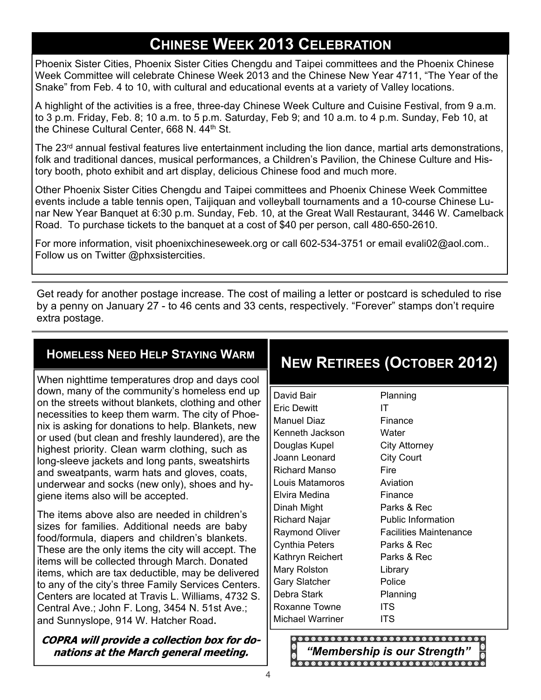# **CHINESE WEEK 2013 CELEBRATION**

Phoenix Sister Cities, Phoenix Sister Cities Chengdu and Taipei committees and the Phoenix Chinese Week Committee will celebrate Chinese Week 2013 and the Chinese New Year 4711, "The Year of the Snake" from Feb. 4 to 10, with cultural and educational events at a variety of Valley locations.

A highlight of the activities is a free, three-day Chinese Week Culture and Cuisine Festival, from 9 a.m. to 3 p.m. Friday, Feb. 8; 10 a.m. to 5 p.m. Saturday, Feb 9; and 10 a.m. to 4 p.m. Sunday, Feb 10, at the Chinese Cultural Center, 668 N. 44<sup>th</sup> St.

The  $23<sup>rd</sup>$  annual festival features live entertainment including the lion dance, martial arts demonstrations, folk and traditional dances, musical performances, a Children's Pavilion, the Chinese Culture and History booth, photo exhibit and art display, delicious Chinese food and much more.

Other Phoenix Sister Cities Chengdu and Taipei committees and Phoenix Chinese Week Committee events include a table tennis open, Taijiquan and volleyball tournaments and a 10-course Chinese Lunar New Year Banquet at 6:30 p.m. Sunday, Feb. 10, at the Great Wall Restaurant, 3446 W. Camelback Road. To purchase tickets to the banquet at a cost of \$40 per person, call 480-650-2610.

For more information, visit phoenixchineseweek.org or call 602-534-3751 or email evali02@aol.com.. Follow us on Twitter @phxsistercities.

Get ready for another postage increase. The cost of mailing a letter or postcard is scheduled to rise by a penny on January 27 - to 46 cents and 33 cents, respectively. "Forever" stamps don't require extra postage.

#### **HOMELESS NEED HELP STAYING WARM**

When nighttime temperatures drop and days cool down, many of the community's homeless end up on the streets without blankets, clothing and other necessities to keep them warm. The city of Phoenix is asking for donations to help. Blankets, new or used (but clean and freshly laundered), are the highest priority. Clean warm clothing, such as long-sleeve jackets and long pants, sweatshirts and sweatpants, warm hats and gloves, coats, underwear and socks (new only), shoes and hygiene items also will be accepted.

The items above also are needed in children's sizes for families. Additional needs are baby food/formula, diapers and children's blankets. These are the only items the city will accept. The items will be collected through March. Donated items, which are tax deductible, may be delivered to any of the city's three Family Services Centers. Centers are located at Travis L. Williams, 4732 S. Central Ave.; John F. Long, 3454 N. 51st Ave.; and Sunnyslope, 914 W. Hatcher Road.

**COPRA will provide a collection box for do**nations at the March general meeting.

# **NEW RETIREES (OCTOBER 2012)**

Planning

David Bair Eric Dewitt Manuel Diaz Kenneth Jackson Douglas Kupel Joann Leonard Richard Manso Louis Matamoros Elvira Medina Dinah Might Richard Najar Raymond Oliver Cynthia Peters Kathryn Reichert Mary Rolston Gary Slatcher Debra Stark Roxanne Towne Michael Warriner

IT Finance **Water** City Attorney City Court Fire Aviation Finance Parks & Rec Public Information Facilities Maintenance Parks & Rec Parks & Rec Library Police Planning ITS ITS

*"Membership is our Strength"*  $\bullet$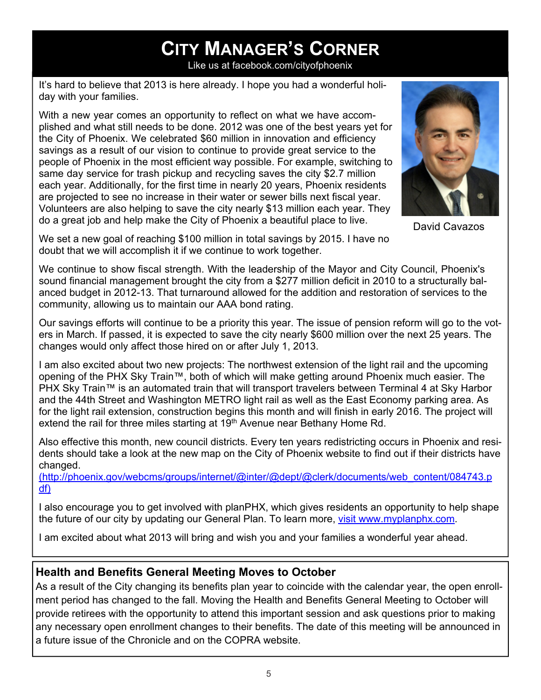# **CITY MANAGER'S CORNER**

Like us at facebook.com/cityofphoenix

It's hard to believe that 2013 is here already. I hope you had a wonderful holiday with your families.

With a new year comes an opportunity to reflect on what we have accomplished and what still needs to be done. 2012 was one of the best years yet for the City of Phoenix. We celebrated \$60 million in innovation and efficiency savings as a result of our vision to continue to provide great service to the people of Phoenix in the most efficient way possible. For example, switching to same day service for trash pickup and recycling saves the city \$2.7 million each year. Additionally, for the first time in nearly 20 years, Phoenix residents are projected to see no increase in their water or sewer bills next fiscal year. Volunteers are also helping to save the city nearly \$13 million each year. They do a great job and help make the City of Phoenix a beautiful place to live.



David Cavazos

We set a new goal of reaching \$100 million in total savings by 2015. I have no doubt that we will accomplish it if we continue to work together.

We continue to show fiscal strength. With the leadership of the Mayor and City Council, Phoenix's sound financial management brought the city from a \$277 million deficit in 2010 to a structurally balanced budget in 2012-13. That turnaround allowed for the addition and restoration of services to the community, allowing us to maintain our AAA bond rating.

Our savings efforts will continue to be a priority this year. The issue of pension reform will go to the voters in March. If passed, it is expected to save the city nearly \$600 million over the next 25 years. The changes would only affect those hired on or after July 1, 2013.

I am also excited about two new projects: The northwest extension of the light rail and the upcoming opening of the PHX Sky Train™, both of which will make getting around Phoenix much easier. The PHX Sky Train™ is an automated train that will transport travelers between Terminal 4 at Sky Harbor and the 44th Street and Washington METRO light rail as well as the East Economy parking area. As for the light rail extension, construction begins this month and will finish in early 2016. The project will extend the rail for three miles starting at 19<sup>th</sup> Avenue near Bethany Home Rd.

Also effective this month, new council districts. Every ten years redistricting occurs in Phoenix and residents should take a look at the new map on the City of Phoenix website to find out if their districts have changed.

(http://phoenix.gov/webcms/groups/internet/@inter/@dept/@clerk/documents/web\_content/084743.p df)

I also encourage you to get involved with planPHX, which gives residents an opportunity to help shape the future of our city by updating our General Plan. To learn more, visit www.myplanphx.com.

I am excited about what 2013 will bring and wish you and your families a wonderful year ahead.

#### **Health and Benefits General Meeting Moves to October**

As a result of the City changing its benefits plan year to coincide with the calendar year, the open enrollment period has changed to the fall. Moving the Health and Benefits General Meeting to October will provide retirees with the opportunity to attend this important session and ask questions prior to making any necessary open enrollment changes to their benefits. The date of this meeting will be announced in a future issue of the Chronicle and on the COPRA website.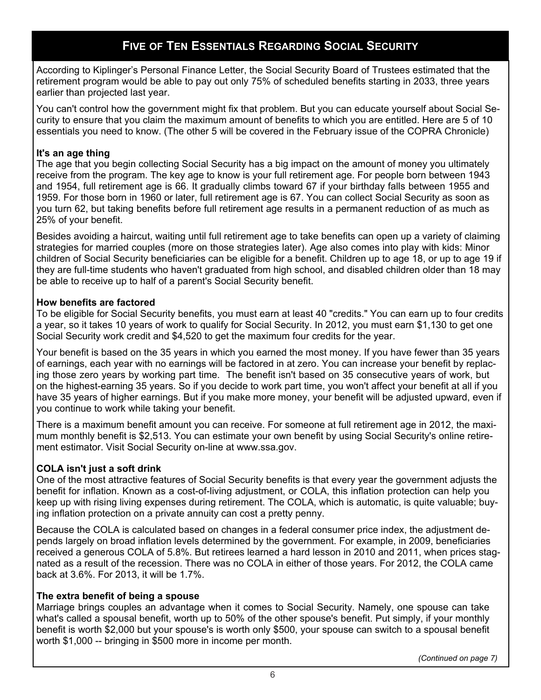#### **FIVE OF TEN ESSENTIALS REGARDING SOCIAL SECURITY**

According to Kiplinger's Personal Finance Letter, the Social Security Board of Trustees estimated that the retirement program would be able to pay out only 75% of scheduled benefits starting in 2033, three years earlier than projected last year.

You can't control how the government might fix that problem. But you can educate yourself about Social Security to ensure that you claim the maximum amount of benefits to which you are entitled. Here are 5 of 10 essentials you need to know. (The other 5 will be covered in the February issue of the COPRA Chronicle)

#### **It's an age thing**

The age that you begin collecting Social Security has a big impact on the amount of money you ultimately receive from the program. The key age to know is your full retirement age. For people born between 1943 and 1954, full retirement age is 66. It gradually climbs toward 67 if your birthday falls between 1955 and 1959. For those born in 1960 or later, full retirement age is 67. You can collect Social Security as soon as you turn 62, but taking benefits before full retirement age results in a permanent reduction of as much as 25% of your benefit.

Besides avoiding a haircut, waiting until full retirement age to take benefits can open up a variety of claiming strategies for married couples (more on those strategies later). Age also comes into play with kids: Minor children of Social Security beneficiaries can be eligible for a benefit. Children up to age 18, or up to age 19 if they are full-time students who haven't graduated from high school, and disabled children older than 18 may be able to receive up to half of a parent's Social Security benefit.

#### **How benefits are factored**

To be eligible for Social Security benefits, you must earn at least 40 "credits." You can earn up to four credits a year, so it takes 10 years of work to qualify for Social Security. In 2012, you must earn \$1,130 to get one Social Security work credit and \$4,520 to get the maximum four credits for the year.

Your benefit is based on the 35 years in which you earned the most money. If you have fewer than 35 years of earnings, each year with no earnings will be factored in at zero. You can increase your benefit by replacing those zero years by working part time. The benefit isn't based on 35 consecutive years of work, but on the highest-earning 35 years. So if you decide to work part time, you won't affect your benefit at all if you have 35 years of higher earnings. But if you make more money, your benefit will be adjusted upward, even if you continue to work while taking your benefit.

There is a maximum benefit amount you can receive. For someone at full retirement age in 2012, the maximum monthly benefit is \$2,513. You can estimate your own benefit by using Social Security's online retirement estimator. Visit Social Security on-line at www.ssa.gov.

#### **COLA isn't just a soft drink**

One of the most attractive features of Social Security benefits is that every year the government adjusts the benefit for inflation. Known as a cost-of-living adjustment, or COLA, this inflation protection can help you keep up with rising living expenses during retirement. The COLA, which is automatic, is quite valuable; buying inflation protection on a private annuity can cost a pretty penny.

Because the COLA is calculated based on changes in a federal consumer price index, the adjustment depends largely on broad inflation levels determined by the government. For example, in 2009, beneficiaries received a generous COLA of 5.8%. But retirees learned a hard lesson in 2010 and 2011, when prices stagnated as a result of the recession. There was no COLA in either of those years. For 2012, the COLA came back at 3.6%. For 2013, it will be 1.7%.

#### **The extra benefit of being a spouse**

Marriage brings couples an advantage when it comes to Social Security. Namely, one spouse can take what's called a spousal benefit, worth up to 50% of the other spouse's benefit. Put simply, if your monthly benefit is worth \$2,000 but your spouse's is worth only \$500, your spouse can switch to a spousal benefit worth \$1,000 -- bringing in \$500 more in income per month.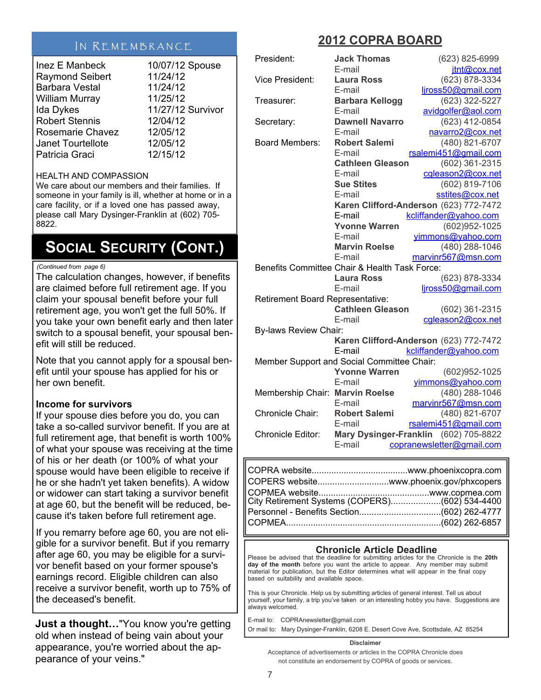#### IN REMEMBRANCE

| Inez E Manbeck         | 10/07/12 Spouse   |
|------------------------|-------------------|
| <b>Raymond Seibert</b> | 11/24/12          |
| <b>Barbara Vestal</b>  | 11/24/12          |
| <b>William Murray</b>  | 11/25/12          |
| Ida Dykes              | 11/27/12 Survivor |
| <b>Robert Stennis</b>  | 12/04/12          |
| Rosemarie Chavez       | 12/05/12          |
| Janet Tourtellote      | 12/05/12          |
| Patricia Graci         | 12/15/12          |

#### HEALTH AND COMPASSION

We care about our members and their families. If someone in your family is ill, whether at home or in a care facility, or if a loved one has passed away, please call Mary Dysinger-Franklin at (602) 705- 8822.

# **SOCIAL SECURITY (CONT.)**

#### *(Continued from page 6)*

The calculation changes, however, if benefits are claimed before full retirement age. If you claim your spousal benefit before your full retirement age, you won't get the full 50%. If you take your own benefit early and then later switch to a spousal benefit, your spousal benefit will still be reduced.

Note that you cannot apply for a spousal benefit until your spouse has applied for his or her own benefit.

#### **Income for survivors**

If your spouse dies before you do, you can take a so-called survivor benefit. If you are at full retirement age, that benefit is worth 100% of what your spouse was receiving at the time of his or her death (or 100% of what your spouse would have been eligible to receive if he or she hadn't yet taken benefits). A widow or widower can start taking a survivor benefit at age 60, but the benefit will be reduced, because it's taken before full retirement age.

If you remarry before age 60, you are not eligible for a survivor benefit. But if you remarry after age 60, you may be eligible for a survivor benefit based on your former spouse's earnings record. Eligible children can also receive a survivor benefit, worth up to 75% of the deceased's benefit.

**Just a thought…**"You know you're getting old when instead of being vain about your appearance, you're worried about the appearance of your veins."

### **2012 COPRA BOARD**

| President:                                    | <b>Jack Thomas</b>            | (623) 825-6999                         |  |  |
|-----------------------------------------------|-------------------------------|----------------------------------------|--|--|
|                                               | E-mail                        | jtnt@cox.net                           |  |  |
| Vice President:                               | <b>Laura Ross</b>             | (623) 878-3334                         |  |  |
|                                               | E-mail                        | ljross50@gmail.com                     |  |  |
| Treasurer:                                    | <b>Barbara Kellogg</b>        | (623) 322-5227                         |  |  |
|                                               | E-mail                        | avidgolfer@aol.com                     |  |  |
| Secretary:                                    | <b>Dawnell Navarro</b>        | (623) 412-0854                         |  |  |
|                                               | E-mail                        | navarro2@cox.net                       |  |  |
| <b>Board Members:</b>                         | <b>Robert Salemi</b>          | (480) 821-6707                         |  |  |
|                                               | E-mail                        | rsalemi451@gmail.com                   |  |  |
|                                               | <b>Cathleen Gleason</b>       | (602) 361-2315                         |  |  |
|                                               | E-mail                        | cgleason2@cox.net                      |  |  |
|                                               | <b>Sue Stites</b>             | (602) 819-7106                         |  |  |
|                                               | E-mail                        | sstites@cox.net                        |  |  |
| Karen Clifford-Anderson (623) 772-7472        |                               |                                        |  |  |
|                                               | E-mail                        | kcliffander@yahoo.com                  |  |  |
|                                               | <b>Yvonne Warren</b>          | (602)952-1025                          |  |  |
|                                               | E-mail                        | yimmons@yahoo.com                      |  |  |
|                                               | <b>Marvin Roelse</b>          | (480) 288-1046                         |  |  |
|                                               | E-mail                        | marvinr567@msn.com                     |  |  |
| Benefits Committee Chair & Health Task Force: |                               |                                        |  |  |
|                                               | <b>Laura Ross</b>             | (623) 878-3334                         |  |  |
|                                               | E-mail                        | ljross50@gmail.com                     |  |  |
| <b>Retirement Board Representative:</b>       |                               |                                        |  |  |
|                                               | <b>Cathleen Gleason</b>       | (602) 361-2315                         |  |  |
|                                               | E-mail                        | cgleason2@cox.net                      |  |  |
| By-laws Review Chair:                         |                               |                                        |  |  |
|                                               |                               | Karen Clifford-Anderson (623) 772-7472 |  |  |
|                                               | E-mail                        | kcliffander@yahoo.com                  |  |  |
| Member Support and Social Committee Chair:    |                               |                                        |  |  |
|                                               | <b>Yvonne Warren</b>          | (602)952-1025                          |  |  |
|                                               | E-mail                        | yimmons@yahoo.com                      |  |  |
| Membership Chair:                             | <b>Marvin Roelse</b>          | (480) 288-1046                         |  |  |
|                                               | E-mail                        | marvinr567@msn.com                     |  |  |
| Chronicle Chair:                              | <b>Robert Salemi</b>          | (480) 821-6707                         |  |  |
|                                               | E-mail                        | rsalemi451@gmail.com                   |  |  |
| <b>Chronicle Editor:</b>                      | <b>Mary Dysinger-Franklin</b> | (602) 705-8822                         |  |  |
|                                               | E-mail                        | copranewsletter@gmail.com              |  |  |

| COPERS websitewww.phoenix.gov/phxcopers |  |
|-----------------------------------------|--|
|                                         |  |
|                                         |  |
|                                         |  |

#### **Chronicle Article Deadline**

Please be advised that the deadline for submitting articles for the Chronicle is the **20th day of the month** before you want the article to appear. Any member may submit material for publication, but the Editor determines what will appear in the final copy based on suitability and available space.

This is your Chronicle. Help us by submitting articles of general interest. Tell us about yourself, your family, a trip you've taken or an interesting hobby you have. Suggestions are always welcomed.

E-mail to: COPRAnewsletter@gmail.com Or mail to: Mary Dysinger-Franklin, 6208 E. Desert Cove Ave, Scottsdale, AZ 85254

#### **Disclaimer**

Acceptance of advertisements or articles in the COPRA Chronicle does not constitute an endorsement by COPRA of goods or services.